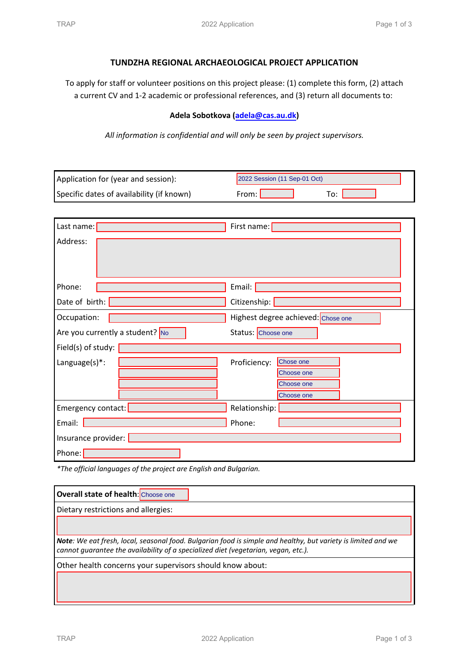## **TUNDZHA REGIONAL ARCHAEOLOGICAL PROJECT APPLICATION**

To apply for staff or volunteer positions on this project please: (1) complete this form, (2) attach a current CV and 1‐2 academic or professional references, and (3) return all documents to:

## **Adela Sobotkova (adela@cas.au.dk)**

*All information is confidential and will only be seen by project supervisors.*

| Application for (year and session):       | 2022 Session (11 Sep-01 Oct)       |  |
|-------------------------------------------|------------------------------------|--|
| Specific dates of availability (if known) | From: L<br>To:                     |  |
|                                           |                                    |  |
| Last name: $\sqrt{\phantom{a}}$           | First name:                        |  |
| Address:                                  |                                    |  |
| Phone:                                    | Email:                             |  |
| Date of birth: $\vert$                    | Citizenship:                       |  |
| Occupation:                               | Highest degree achieved: Chose one |  |
| Are you currently a student? No           | Status: Choose one                 |  |
| Field(s) of study: $ $                    |                                    |  |
| Language(s)*:                             | Chose one<br>Proficiency:          |  |
|                                           | Choose one                         |  |
|                                           | Choose one<br>Choose one           |  |
| Emergency contact:                        | Relationship:                      |  |
| Email:                                    | Phone:                             |  |
| Insurance provider:                       |                                    |  |
| Phone:                                    |                                    |  |

*\*The official languages of the project are English and Bulgarian.*

| <b>Overall state of health:</b> Choose one                                                                                                                                                          |  |  |
|-----------------------------------------------------------------------------------------------------------------------------------------------------------------------------------------------------|--|--|
| Dietary restrictions and allergies:                                                                                                                                                                 |  |  |
|                                                                                                                                                                                                     |  |  |
| Note: We eat fresh, local, seasonal food. Bulgarian food is simple and healthy, but variety is limited and we<br>cannot guarantee the availability of a specialized diet (vegetarian, vegan, etc.). |  |  |
| Other health concerns your supervisors should know about:                                                                                                                                           |  |  |
|                                                                                                                                                                                                     |  |  |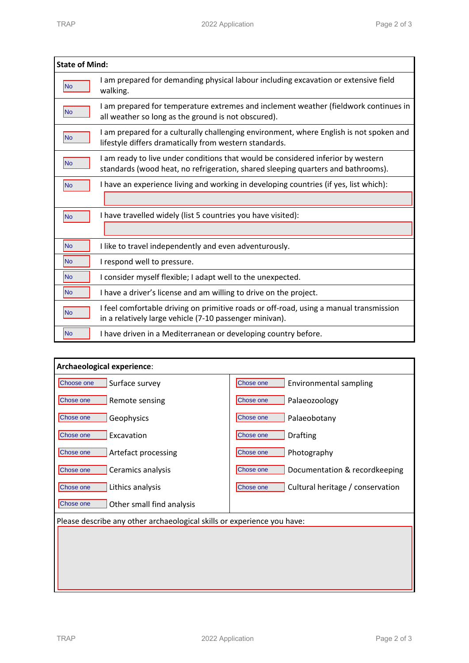| <b>State of Mind:</b> |                                                                                                                                                                      |  |
|-----------------------|----------------------------------------------------------------------------------------------------------------------------------------------------------------------|--|
| No                    | I am prepared for demanding physical labour including excavation or extensive field<br>walking.                                                                      |  |
| N <sub>o</sub>        | I am prepared for temperature extremes and inclement weather (fieldwork continues in<br>all weather so long as the ground is not obscured).                          |  |
| <b>No</b>             | I am prepared for a culturally challenging environment, where English is not spoken and<br>lifestyle differs dramatically from western standards.                    |  |
| N <sub>o</sub>        | I am ready to live under conditions that would be considered inferior by western<br>standards (wood heat, no refrigeration, shared sleeping quarters and bathrooms). |  |
| N <sub>o</sub>        | I have an experience living and working in developing countries (if yes, list which):                                                                                |  |
| N <sub>o</sub>        | I have travelled widely (list 5 countries you have visited):                                                                                                         |  |
|                       |                                                                                                                                                                      |  |
| No                    | I like to travel independently and even adventurously.                                                                                                               |  |
| <b>No</b>             | I respond well to pressure.                                                                                                                                          |  |
| N <sub>o</sub>        | I consider myself flexible; I adapt well to the unexpected.                                                                                                          |  |
| <b>No</b>             | I have a driver's license and am willing to drive on the project.                                                                                                    |  |
| lNo.                  | I feel comfortable driving on primitive roads or off-road, using a manual transmission<br>in a relatively large vehicle (7-10 passenger minivan).                    |  |
| N <sub>o</sub>        | I have driven in a Mediterranean or developing country before.                                                                                                       |  |

| Archaeological experience:                                              |                                               |  |
|-------------------------------------------------------------------------|-----------------------------------------------|--|
| Choose one<br>Surface survey                                            | Chose one<br>Environmental sampling           |  |
| Chose one<br>Remote sensing                                             | Chose one<br>Palaeozoology                    |  |
| Chose one<br>Geophysics                                                 | Chose one<br>Palaeobotany                     |  |
| Excavation<br>Chose one                                                 | Chose one<br><b>Drafting</b>                  |  |
| Chose one<br>Artefact processing                                        | Chose one<br>Photography                      |  |
| Ceramics analysis<br>Chose one                                          | Chose one<br>Documentation & recordkeeping    |  |
| Lithics analysis<br>Chose one                                           | Cultural heritage / conservation<br>Chose one |  |
| Chose one<br>Other small find analysis                                  |                                               |  |
| Please describe any other archaeological skills or experience you have: |                                               |  |
|                                                                         |                                               |  |
|                                                                         |                                               |  |
|                                                                         |                                               |  |
|                                                                         |                                               |  |
|                                                                         |                                               |  |